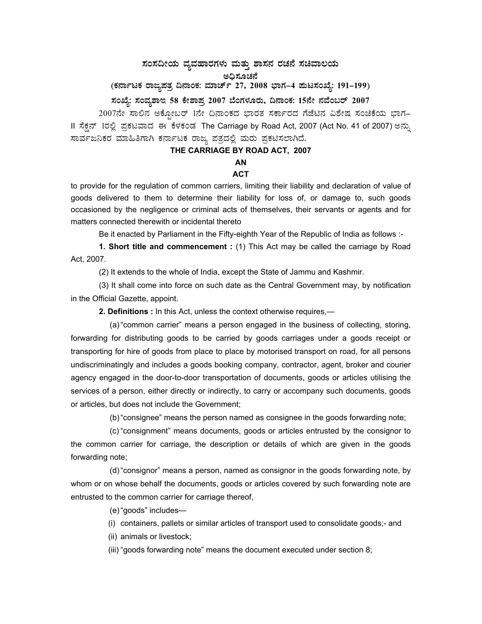# $\,$ ಸಂಸದೀಯ ವ್ಯವಹಾರಗಳು ಮತ್ತು ಶಾಸನ ರಚನೆ ಸಚಿವಾಲಯ ಅಧಿಸೂಚನೆ<br>-

(ಕರ್ನಾಟಕ ರಾಜ್ಯಪತ್ರ ದಿನಾಂಕ: ಮಾರ್ಚ್ 27, 2008 ಭಾಗ–4 **ಮಟಸಂಖ್ಯೆ: 191–199)** 

#### **¸ÀASÉå: ¸ÀAªÀå±ÁE 58 PÉñÁ¥Àæ 2007 ¨ÉAUÀ¼ÀÆgÀÄ, ¢£ÁAPÀ: 15£Éà £ÀªÉA§gï 2007**

2007ನೇ ಸಾಲಿನ ಅಕ್ಸೋಬರ್ 1ನೇ ದಿನಾಂಕದ ಭಾರತ ಸರ್ಕಾರದ ಗೆಜೆಟಿನ ವಿಶೇಷ ಸಂಚಿಕೆಯ ಭಾಗ-II ಸೆಕ್ಸನ್ 1ರಲ್ಲಿ ಪ್ರಕಟವಾದ ಈ ಕೆಳಕಂಡ The Carriage by Road Act, 2007 (Act No. 41 of 2007) ಅನ್ಸು ಸಾರ್ವಜನಿಕರ ಮಾಹಿತಿಗಾಗಿ ಕರ್ನಾಟಕ ರಾಜ್ಯ ಪತ್ರದಲ್ಲಿ ಮರು ಪ್ರಕಟಿಸಲಾಗಿದೆ.

#### **THE CARRIAGE BY ROAD ACT, 2007**

## **AN**

### **ACT**

to provide for the regulation of common carriers, limiting their liability and declaration of value of goods delivered to them to determine their liability for loss of, or damage to, such goods occasioned by the negligence or criminal acts of themselves, their servants or agents and for matters connected therewith or incidental thereto

Be it enacted by Parliament in the Fifty-eighth Year of the Republic of India as follows :-

**1. Short title and commencement :** (1) This Act may be called the carriage by Road Act, 2007.

(2) It extends to the whole of India, except the State of Jammu and Kashmir.

 (3) It shall come into force on such date as the Central Government may, by notification in the Official Gazette, appoint.

 **2. Definitions :** In this Act, unless the context otherwise requires,—

 (a) "common carrier" means a person engaged in the business of collecting, storing, forwarding for distributing goods to be carried by goods carriages under a goods receipt or transporting for hire of goods from place to place by motorised transport on road, for all persons undiscriminatingly and includes a goods booking company, contractor, agent, broker and courier agency engaged in the door-to-door transportation of documents, goods or articles utilising the services of a person, either directly or indirectly, to carry or accompany such documents, goods or articles, but does not include the Government;

(b) "consignee" means the person named as consignee in the goods forwarding note;

 (c) "consignment" means documents, goods or articles entrusted by the consignor to the common carrier for carriage, the description or details of which are given in the goods forwarding note;

 (d) "consignor" means a person, named as consignor in the goods forwarding note, by whom or on whose behalf the documents, goods or articles covered by such forwarding note are entrusted to the common carrier for carriage thereof,

(e) "goods" includes—

(i) containers, pallets or similar articles of transport used to consolidate goods;- and

(ii) animals or livestock;

(iii) "goods forwarding note" means the document executed under section 8;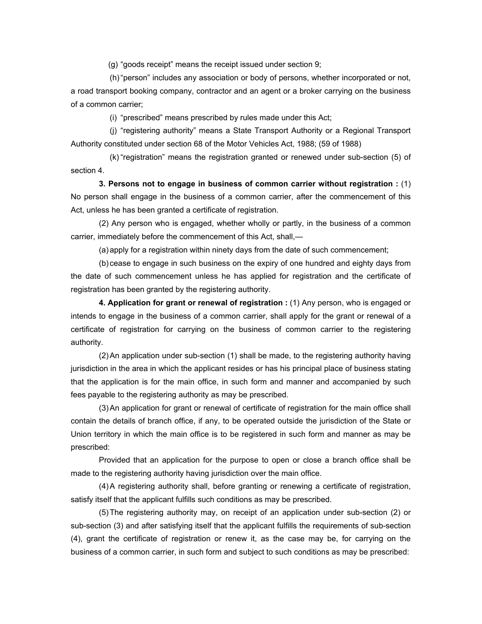(g) "goods receipt" means the receipt issued under section 9;

 (h) "person" includes any association or body of persons, whether incorporated or not, a road transport booking company, contractor and an agent or a broker carrying on the business of a common carrier;

(i) "prescribed" means prescribed by rules made under this Act;

 (j) "registering authority" means a State Transport Authority or a Regional Transport Authority constituted under section 68 of the Motor Vehicles Act, 1988; (59 of 1988)

 (k) "registration" means the registration granted or renewed under sub-section (5) of section 4.

 **3. Persons not to engage in business of common carrier without registration :** (1) No person shall engage in the business of a common carrier, after the commencement of this Act, unless he has been granted a certificate of registration.

 (2) Any person who is engaged, whether wholly or partly, in the business of a common carrier, immediately before the commencement of this Act, shall,—

(a) apply for a registration within ninety days from the date of such commencement;

 (b) cease to engage in such business on the expiry of one hundred and eighty days from the date of such commencement unless he has applied for registration and the certificate of registration has been granted by the registering authority.

 **4. Application for grant or renewal of registration :** (1) Any person, who is engaged or intends to engage in the business of a common carrier, shall apply for the grant or renewal of a certificate of registration for carrying on the business of common carrier to the registering authority.

 (2) An application under sub-section (1) shall be made, to the registering authority having jurisdiction in the area in which the applicant resides or has his principal place of business stating that the application is for the main office, in such form and manner and accompanied by such fees payable to the registering authority as may be prescribed.

 (3) An application for grant or renewal of certificate of registration for the main office shall contain the details of branch office, if any, to be operated outside the jurisdiction of the State or Union territory in which the main office is to be registered in such form and manner as may be prescribed:

 Provided that an application for the purpose to open or close a branch office shall be made to the registering authority having jurisdiction over the main office.

 (4) A registering authority shall, before granting or renewing a certificate of registration, satisfy itself that the applicant fulfills such conditions as may be prescribed.

 (5) The registering authority may, on receipt of an application under sub-section (2) or sub-section (3) and after satisfying itself that the applicant fulfills the requirements of sub-section (4), grant the certificate of registration or renew it, as the case may be, for carrying on the business of a common carrier, in such form and subject to such conditions as may be prescribed: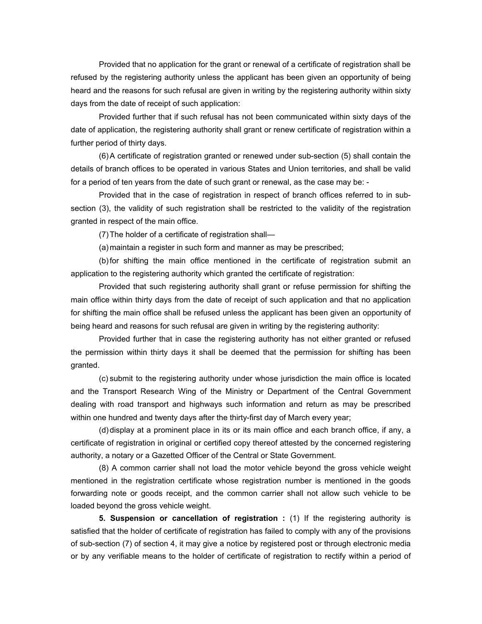Provided that no application for the grant or renewal of a certificate of registration shall be refused by the registering authority unless the applicant has been given an opportunity of being heard and the reasons for such refusal are given in writing by the registering authority within sixty days from the date of receipt of such application:

 Provided further that if such refusal has not been communicated within sixty days of the date of application, the registering authority shall grant or renew certificate of registration within a further period of thirty days.

 (6) A certificate of registration granted or renewed under sub-section (5) shall contain the details of branch offices to be operated in various States and Union territories, and shall be valid for a period of ten years from the date of such grant or renewal, as the case may be: -

 Provided that in the case of registration in respect of branch offices referred to in subsection (3), the validity of such registration shall be restricted to the validity of the registration granted in respect of the main office.

(7) The holder of a certificate of registration shall—

(a) maintain a register in such form and manner as may be prescribed;

 (b) for shifting the main office mentioned in the certificate of registration submit an application to the registering authority which granted the certificate of registration:

 Provided that such registering authority shall grant or refuse permission for shifting the main office within thirty days from the date of receipt of such application and that no application for shifting the main office shall be refused unless the applicant has been given an opportunity of being heard and reasons for such refusal are given in writing by the registering authority:

 Provided further that in case the registering authority has not either granted or refused the permission within thirty days it shall be deemed that the permission for shifting has been granted.

 (c) submit to the registering authority under whose jurisdiction the main office is located and the Transport Research Wing of the Ministry or Department of the Central Government dealing with road transport and highways such information and return as may be prescribed within one hundred and twenty days after the thirty-first day of March every year;

 (d) display at a prominent place in its or its main office and each branch office, if any, a certificate of registration in original or certified copy thereof attested by the concerned registering authority, a notary or a Gazetted Officer of the Central or State Government.

 (8) A common carrier shall not load the motor vehicle beyond the gross vehicle weight mentioned in the registration certificate whose registration number is mentioned in the goods forwarding note or goods receipt, and the common carrier shall not allow such vehicle to be loaded beyond the gross vehicle weight.

 **5. Suspension or cancellation of registration :** (1) If the registering authority is satisfied that the holder of certificate of registration has failed to comply with any of the provisions of sub-section (7) of section 4, it may give a notice by registered post or through electronic media or by any verifiable means to the holder of certificate of registration to rectify within a period of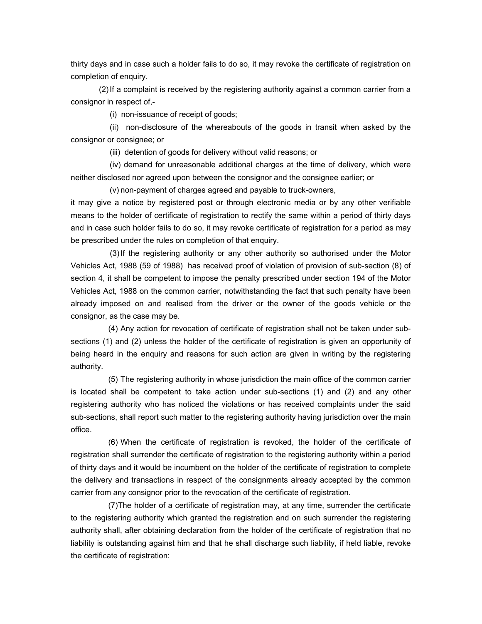thirty days and in case such a holder fails to do so, it may revoke the certificate of registration on completion of enquiry.

 (2) If a complaint is received by the registering authority against a common carrier from a consignor in respect of,-

(i) non-issuance of receipt of goods;

 (ii) non-disclosure of the whereabouts of the goods in transit when asked by the consignor or consignee; or

(iii) detention of goods for delivery without valid reasons; or

 (iv) demand for unreasonable additional charges at the time of delivery, which were neither disclosed nor agreed upon between the consignor and the consignee earlier; or

(v) non-payment of charges agreed and payable to truck-owners,

it may give a notice by registered post or through electronic media or by any other verifiable means to the holder of certificate of registration to rectify the same within a period of thirty days and in case such holder fails to do so, it may revoke certificate of registration for a period as may be prescribed under the rules on completion of that enquiry.

 (3) If the registering authority or any other authority so authorised under the Motor Vehicles Act, 1988 (59 of 1988) has received proof of violation of provision of sub-section (8) of section 4, it shall be competent to impose the penalty prescribed under section 194 of the Motor Vehicles Act, 1988 on the common carrier, notwithstanding the fact that such penalty have been already imposed on and realised from the driver or the owner of the goods vehicle or the consignor, as the case may be.

 (4) Any action for revocation of certificate of registration shall not be taken under subsections (1) and (2) unless the holder of the certificate of registration is given an opportunity of being heard in the enquiry and reasons for such action are given in writing by the registering authority.

 (5) The registering authority in whose jurisdiction the main office of the common carrier is located shall be competent to take action under sub-sections (1) and (2) and any other registering authority who has noticed the violations or has received complaints under the said sub-sections, shall report such matter to the registering authority having jurisdiction over the main office.

 (6) When the certificate of registration is revoked, the holder of the certificate of registration shall surrender the certificate of registration to the registering authority within a period of thirty days and it would be incumbent on the holder of the certificate of registration to complete the delivery and transactions in respect of the consignments already accepted by the common carrier from any consignor prior to the revocation of the certificate of registration.

 (7)The holder of a certificate of registration may, at any time, surrender the certificate to the registering authority which granted the registration and on such surrender the registering authority shall, after obtaining declaration from the holder of the certificate of registration that no liability is outstanding against him and that he shall discharge such liability, if held liable, revoke the certificate of registration: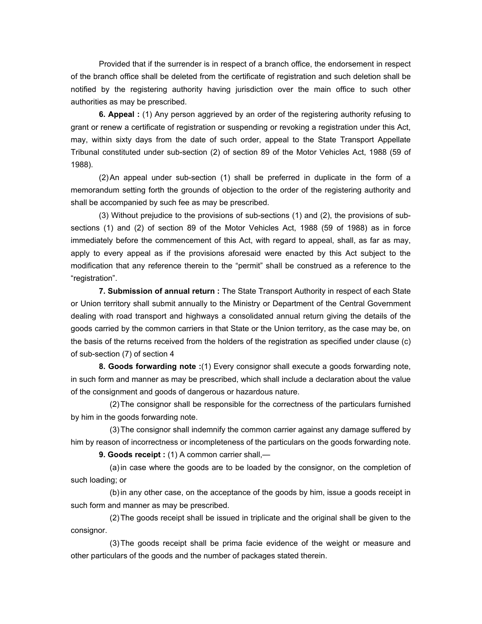Provided that if the surrender is in respect of a branch office, the endorsement in respect of the branch office shall be deleted from the certificate of registration and such deletion shall be notified by the registering authority having jurisdiction over the main office to such other authorities as may be prescribed.

 **6. Appeal :** (1) Any person aggrieved by an order of the registering authority refusing to grant or renew a certificate of registration or suspending or revoking a registration under this Act, may, within sixty days from the date of such order, appeal to the State Transport Appellate Tribunal constituted under sub-section (2) of section 89 of the Motor Vehicles Act, 1988 (59 of 1988).

 (2) An appeal under sub-section (1) shall be preferred in duplicate in the form of a memorandum setting forth the grounds of objection to the order of the registering authority and shall be accompanied by such fee as may be prescribed.

(3) Without prejudice to the provisions of sub-sections (1) and (2), the provisions of subsections (1) and (2) of section 89 of the Motor Vehicles Act, 1988 (59 of 1988) as in force immediately before the commencement of this Act, with regard to appeal, shall, as far as may, apply to every appeal as if the provisions aforesaid were enacted by this Act subject to the modification that any reference therein to the "permit" shall be construed as a reference to the "registration".

 **7. Submission of annual return :** The State Transport Authority in respect of each State or Union territory shall submit annually to the Ministry or Department of the Central Government dealing with road transport and highways a consolidated annual return giving the details of the goods carried by the common carriers in that State or the Union territory, as the case may be, on the basis of the returns received from the holders of the registration as specified under clause (c) of sub-section (7) of section 4

 **8. Goods forwarding note :**(1) Every consignor shall execute a goods forwarding note, in such form and manner as may be prescribed, which shall include a declaration about the value of the consignment and goods of dangerous or hazardous nature.

 (2) The consignor shall be responsible for the correctness of the particulars furnished by him in the goods forwarding note.

 (3) The consignor shall indemnify the common carrier against any damage suffered by him by reason of incorrectness or incompleteness of the particulars on the goods forwarding note.

 **9. Goods receipt :** (1) A common carrier shall,—

 (a) in case where the goods are to be loaded by the consignor, on the completion of such loading; or

 (b) in any other case, on the acceptance of the goods by him, issue a goods receipt in such form and manner as may be prescribed.

 (2) The goods receipt shall be issued in triplicate and the original shall be given to the consignor.

 (3) The goods receipt shall be prima facie evidence of the weight or measure and other particulars of the goods and the number of packages stated therein.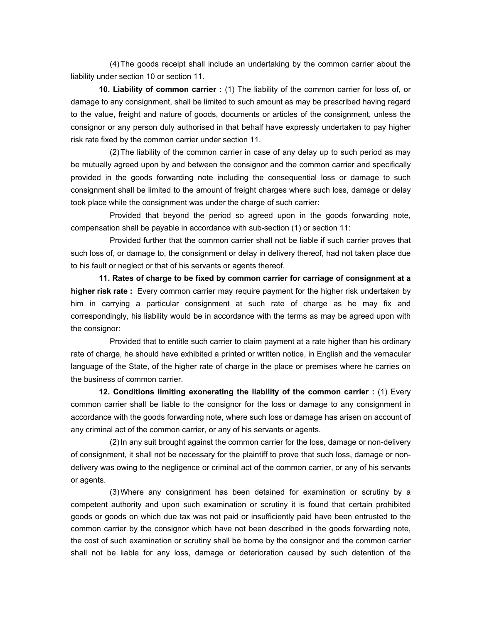(4) The goods receipt shall include an undertaking by the common carrier about the liability under section 10 or section 11.

 **10. Liability of common carrier :** (1) The liability of the common carrier for loss of, or damage to any consignment, shall be limited to such amount as may be prescribed having regard to the value, freight and nature of goods, documents or articles of the consignment, unless the consignor or any person duly authorised in that behalf have expressly undertaken to pay higher risk rate fixed by the common carrier under section 11.

 (2) The liability of the common carrier in case of any delay up to such period as may be mutually agreed upon by and between the consignor and the common carrier and specifically provided in the goods forwarding note including the consequential loss or damage to such consignment shall be limited to the amount of freight charges where such loss, damage or delay took place while the consignment was under the charge of such carrier:

 Provided that beyond the period so agreed upon in the goods forwarding note, compensation shall be payable in accordance with sub-section (1) or section 11:

 Provided further that the common carrier shall not be liable if such carrier proves that such loss of, or damage to, the consignment or delay in delivery thereof, had not taken place due to his fault or neglect or that of his servants or agents thereof.

 **11. Rates of charge to be fixed by common carrier for carriage of consignment at a higher risk rate :** Every common carrier may require payment for the higher risk undertaken by him in carrying a particular consignment at such rate of charge as he may fix and correspondingly, his liability would be in accordance with the terms as may be agreed upon with the consignor:

 Provided that to entitle such carrier to claim payment at a rate higher than his ordinary rate of charge, he should have exhibited a printed or written notice, in English and the vernacular language of the State, of the higher rate of charge in the place or premises where he carries on the business of common carrier.

**12. Conditions limiting exonerating the liability of the common carrier :** (1) Every common carrier shall be liable to the consignor for the loss or damage to any consignment in accordance with the goods forwarding note, where such loss or damage has arisen on account of any criminal act of the common carrier, or any of his servants or agents.

 (2) In any suit brought against the common carrier for the loss, damage or non-delivery of consignment, it shall not be necessary for the plaintiff to prove that such loss, damage or nondelivery was owing to the negligence or criminal act of the common carrier, or any of his servants or agents.

 (3) Where any consignment has been detained for examination or scrutiny by a competent authority and upon such examination or scrutiny it is found that certain prohibited goods or goods on which due tax was not paid or insufficiently paid have been entrusted to the common carrier by the consignor which have not been described in the goods forwarding note, the cost of such examination or scrutiny shall be borne by the consignor and the common carrier shall not be liable for any loss, damage or deterioration caused by such detention of the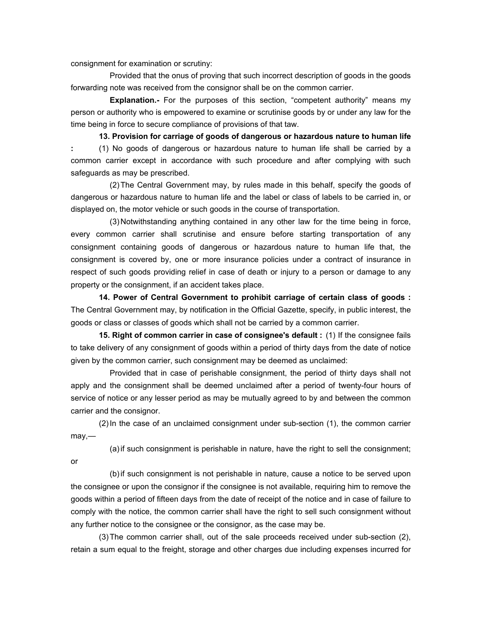consignment for examination or scrutiny:

or

 Provided that the onus of proving that such incorrect description of goods in the goods forwarding note was received from the consignor shall be on the common carrier.

 **Explanation.-** For the purposes of this section, "competent authority" means my person or authority who is empowered to examine or scrutinise goods by or under any law for the time being in force to secure compliance of provisions of that taw.

 **13. Provision for carriage of goods of dangerous or hazardous nature to human life :** (1) No goods of dangerous or hazardous nature to human life shall be carried by a common carrier except in accordance with such procedure and after complying with such safeguards as may be prescribed.

 (2) The Central Government may, by rules made in this behalf, specify the goods of dangerous or hazardous nature to human life and the label or class of labels to be carried in, or displayed on, the motor vehicle or such goods in the course of transportation.

 (3) Notwithstanding anything contained in any other law for the time being in force, every common carrier shall scrutinise and ensure before starting transportation of any consignment containing goods of dangerous or hazardous nature to human life that, the consignment is covered by, one or more insurance policies under a contract of insurance in respect of such goods providing relief in case of death or injury to a person or damage to any property or the consignment, if an accident takes place.

 **14. Power of Central Government to prohibit carriage of certain class of goods :**  The Central Government may, by notification in the Official Gazette, specify, in public interest, the goods or class or classes of goods which shall not be carried by a common carrier.

 **15. Right of common carrier in case of consignee's default :** (1) If the consignee fails to take delivery of any consignment of goods within a period of thirty days from the date of notice given by the common carrier, such consignment may be deemed as unclaimed:

 Provided that in case of perishable consignment, the period of thirty days shall not apply and the consignment shall be deemed unclaimed after a period of twenty-four hours of service of notice or any lesser period as may be mutually agreed to by and between the common carrier and the consignor.

 (2) In the case of an unclaimed consignment under sub-section (1), the common carrier may,—

(a) if such consignment is perishable in nature, have the right to sell the consignment;

 (b) if such consignment is not perishable in nature, cause a notice to be served upon the consignee or upon the consignor if the consignee is not available, requiring him to remove the goods within a period of fifteen days from the date of receipt of the notice and in case of failure to comply with the notice, the common carrier shall have the right to sell such consignment without any further notice to the consignee or the consignor, as the case may be.

 (3) The common carrier shall, out of the sale proceeds received under sub-section (2), retain a sum equal to the freight, storage and other charges due including expenses incurred for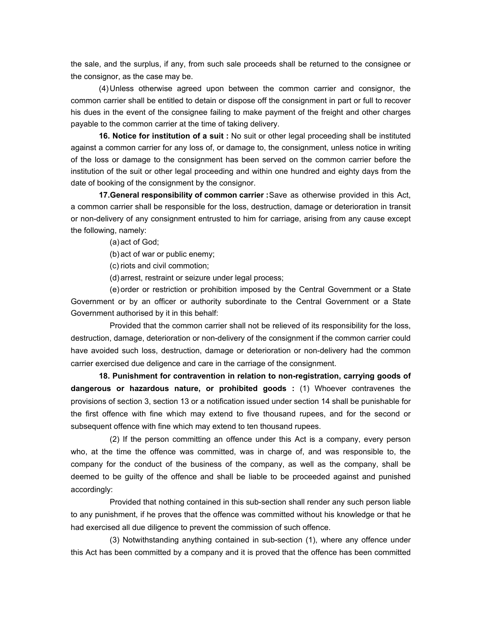the sale, and the surplus, if any, from such sale proceeds shall be returned to the consignee or the consignor, as the case may be.

 (4) Unless otherwise agreed upon between the common carrier and consignor, the common carrier shall be entitled to detain or dispose off the consignment in part or full to recover his dues in the event of the consignee failing to make payment of the freight and other charges payable to the common carrier at the time of taking delivery.

 **16. Notice for institution of a suit :** No suit or other legal proceeding shall be instituted against a common carrier for any loss of, or damage to, the consignment, unless notice in writing of the loss or damage to the consignment has been served on the common carrier before the institution of the suit or other legal proceeding and within one hundred and eighty days from the date of booking of the consignment by the consignor.

 **17.General responsibility of common carrier :** Save as otherwise provided in this Act, a common carrier shall be responsible for the loss, destruction, damage or deterioration in transit or non-delivery of any consignment entrusted to him for carriage, arising from any cause except the following, namely:

(a) act of God;

(b) act of war or public enemy;

(c) riots and civil commotion;

(d) arrest, restraint or seizure under legal process;

 (e) order or restriction or prohibition imposed by the Central Government or a State Government or by an officer or authority subordinate to the Central Government or a State Government authorised by it in this behalf:

 Provided that the common carrier shall not be relieved of its responsibility for the loss, destruction, damage, deterioration or non-delivery of the consignment if the common carrier could have avoided such loss, destruction, damage or deterioration or non-delivery had the common carrier exercised due deligence and care in the carriage of the consignment.

**18. Punishment for contravention in relation to non-registration, carrying goods of dangerous or hazardous nature, or prohibited goods :** (1) Whoever contravenes the provisions of section 3, section 13 or a notification issued under section 14 shall be punishable for the first offence with fine which may extend to five thousand rupees, and for the second or subsequent offence with fine which may extend to ten thousand rupees.

 (2) If the person committing an offence under this Act is a company, every person who, at the time the offence was committed, was in charge of, and was responsible to, the company for the conduct of the business of the company, as well as the company, shall be deemed to be guilty of the offence and shall be liable to be proceeded against and punished accordingly:

 Provided that nothing contained in this sub-section shall render any such person liable to any punishment, if he proves that the offence was committed without his knowledge or that he had exercised all due diligence to prevent the commission of such offence.

 (3) Notwithstanding anything contained in sub-section (1), where any offence under this Act has been committed by a company and it is proved that the offence has been committed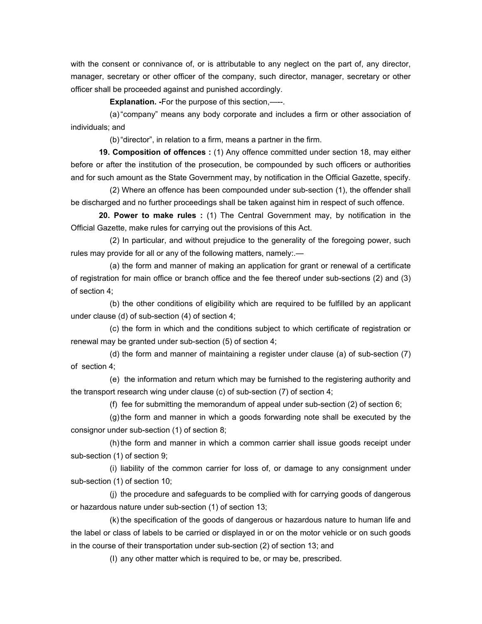with the consent or connivance of, or is attributable to any neglect on the part of, any director, manager, secretary or other officer of the company, such director, manager, secretary or other officer shall be proceeded against and punished accordingly.

**Explanation.** - For the purpose of this section, —--.

 (a) "company" means any body corporate and includes a firm or other association of individuals; and

(b) "director", in relation to a firm, means a partner in the firm.

 **19. Composition of offences :** (1) Any offence committed under section 18, may either before or after the institution of the prosecution, be compounded by such officers or authorities and for such amount as the State Government may, by notification in the Official Gazette, specify.

 (2) Where an offence has been compounded under sub-section (1), the offender shall be discharged and no further proceedings shall be taken against him in respect of such offence.

 **20. Power to make rules :** (1) The Central Government may, by notification in the Official Gazette, make rules for carrying out the provisions of this Act.

 (2) In particular, and without prejudice to the generality of the foregoing power, such rules may provide for all or any of the following matters, namely:.—

 (a) the form and manner of making an application for grant or renewal of a certificate of registration for main office or branch office and the fee thereof under sub-sections (2) and (3) of section 4;

 (b) the other conditions of eligibility which are required to be fulfilled by an applicant under clause (d) of sub-section (4) of section 4;

 (c) the form in which and the conditions subject to which certificate of registration or renewal may be granted under sub-section (5) of section 4;

 (d) the form and manner of maintaining a register under clause (a) of sub-section (7) of section 4;

 (e) the information and return which may be furnished to the registering authority and the transport research wing under clause (c) of sub-section (7) of section 4;

(f) fee for submitting the memorandum of appeal under sub-section (2) of section 6;

 (g) the form and manner in which a goods forwarding note shall be executed by the consignor under sub-section (1) of section 8;

 (h) the form and manner in which a common carrier shall issue goods receipt under sub-section (1) of section 9;

 (i) liability of the common carrier for loss of, or damage to any consignment under sub-section (1) of section 10;

 (j) the procedure and safeguards to be complied with for carrying goods of dangerous or hazardous nature under sub-section (1) of section 13;

 (k) the specification of the goods of dangerous or hazardous nature to human life and the label or class of labels to be carried or displayed in or on the motor vehicle or on such goods in the course of their transportation under sub-section (2) of section 13; and

(I) any other matter which is required to be, or may be, prescribed.